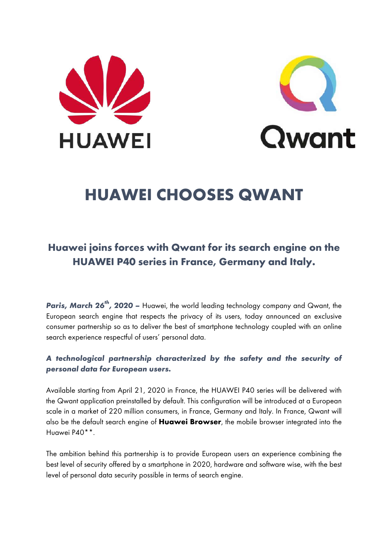



# **HUAWEI CHOOSES QWANT**

## **Huawei joins forces with Qwant for its search engine on the HUAWEI P40 series in France, Germany and Italy.**

*Paris, March 26th, 2020 –* Huawei, the world leading technology company and Qwant, the European search engine that respects the privacy of its users, today announced an exclusive consumer partnership so as to deliver the best of smartphone technology coupled with an online search experience respectful of users' personal data.

### *A technological partnership characterized by the safety and the security of personal data for European users.*

Available starting from April 21, 2020 in France, the HUAWEI P40 series will be delivered with the Qwant application preinstalled by default. This configuration will be introduced at a European scale in a market of 220 million consumers, in France, Germany and Italy. In France, Qwant will also be the default search engine of **Huawei Browser**, the mobile browser integrated into the Huawei P40\*\*.

The ambition behind this partnership is to provide European users an experience combining the best level of security offered by a smartphone in 2020, hardware and software wise, with the best level of personal data security possible in terms of search engine.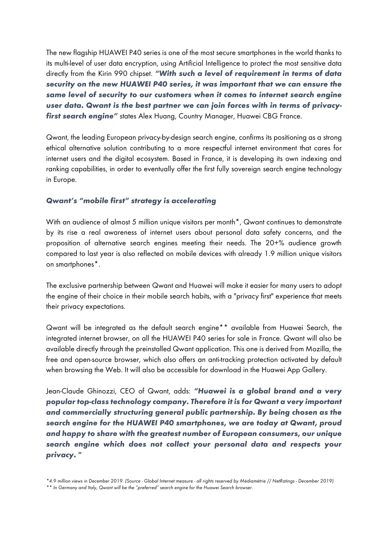The new flagship HUAWEI P40 series is one of the most secure smartphones in the world thanks to its multi-level of user data encryption, using Artificial Intelligence to protect the most sensitive data directly from the Kirin 990 chipset. *"With such a level of requirement in terms of data security on the new HUAWEI P40 series, it was important that we can ensure the same level of security to our customers when it comes to internet search engine user data. Qwant is the best partner we can join forces with in terms of privacyfirst search engine"* states Alex Huang, Country Manager, Huawei CBG France.

Qwant, the leading European privacy-by-design search engine, confirms its positioning as a strong ethical alternative solution contributing to a more respectful internet environment that cares for internet users and the digital ecosystem. Based in France, it is developing its own indexing and ranking capabilities, in order to eventually offer the first fully sovereign search engine technology in Europe.

#### *Qwant's "mobile first" strategy is accelerating*

With an audience of almost 5 million unique visitors per month<sup>\*</sup>, Qwant continues to demonstrate by its rise a real awareness of internet users about personal data safety concerns, and the proposition of alternative search engines meeting their needs. The 20+% audience growth compared to last year is also reflected on mobile devices with already 1.9 million unique visitors on smartphones\*.

The exclusive partnership between Qwant and Huawei will make it easier for many users to adopt the engine of their choice in their mobile search habits, with a "privacy first" experience that meets their privacy expectations.

Qwant will be integrated as the default search engine\*\* available from Huawei Search, the integrated internet browser, on all the HUAWEI P40 series for sale in France. Qwant will also be available directly through the preinstalled Qwant application. This one is derived from Mozilla, the free and open-source browser, which also offers an anti-tracking protection activated by default when browsing the Web. It will also be accessible for download in the Huawei App Gallery.

Jean-Claude Ghinozzi, CEO of Qwant, adds: *"Huawei is a global brand and a very popular top-class technology company. Therefore it is for Qwant a very important and commercially structuring general public partnership. By being chosen as the search engine for the HUAWEI P40 smartphones, we are today at Qwant, proud and happy to share with the greatest number of European consumers, our unique search engine which does not collect your personal data and respects your privacy. "*

*<sup>\*4.9</sup> million views in December 2019. (Source - Global Internet measure - all rights reserved by Médiamétrie // NetRatings - December 2019) \*\* In Germany and Italy, Qwant will be the "preferred" search engine for the Huawei Search browser.*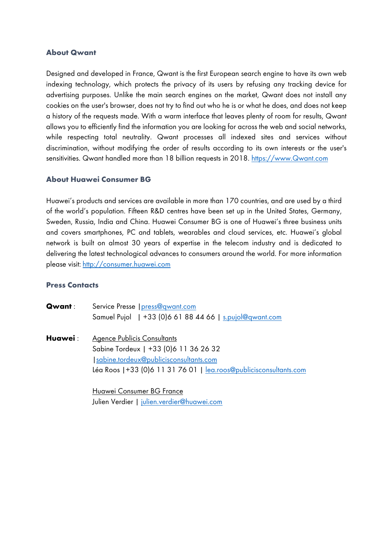#### **About Qwant**

Designed and developed in France, Qwant is the first European search engine to have its own web indexing technology, which protects the privacy of its users by refusing any tracking device for advertising purposes. Unlike the main search engines on the market, Qwant does not install any cookies on the user's browser, does not try to find out who he is or what he does, and does not keep a history of the requests made. With a warm interface that leaves plenty of room for results, Qwant allows you to efficiently find the information you are looking for across the web and social networks, while respecting total neutrality. Qwant processes all indexed sites and services without discrimination, without modifying the order of results according to its own interests or the user's sensitivities. Qwant handled more than 18 billion requests in 2018. https://www.Qwant.com

#### **About Huawei Consumer BG**

Huawei's products and services are available in more than 170 countries, and are used by a third of the world's population. Fifteen R&D centres have been set up in the United States, Germany, Sweden, Russia, India and China. Huawei Consumer BG is one of Huawei's three business units and covers smartphones, PC and tablets, wearables and cloud services, etc. Huawei's global network is built on almost 30 years of expertise in the telecom industry and is dedicated to delivering the latest technological advances to consumers around the world. For more information please visit: http://consumer.huawei.com

#### **Press Contacts**

| <b>Qwant</b> : | Service Presse   press@qwant.com                                   |
|----------------|--------------------------------------------------------------------|
|                | Samuel Pujol   +33 (0)6 61 88 44 66   s.pujol@qwant.com            |
| Huawei :       | <b>Agence Publicis Consultants</b>                                 |
|                | Sabine Tordeux   +33 (0) 6 11 36 26 32                             |
|                | sabine.tordeux@publicisconsultants.com                             |
|                | Léa Roos   +33 (0)6 11 31 76 01   lea.roos@publicisconsultants.com |
|                |                                                                    |
|                |                                                                    |

Huawei Consumer BG France Julien Verdier | julien.verdier@huawei.com